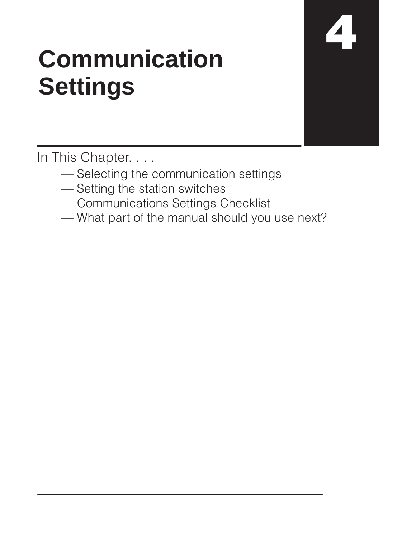# **Communication Settings**

In This Chapter. . . .

- Selecting the communication settings
- Setting the station switches
- Communications Settings Checklist
- What part of the manual should you use next?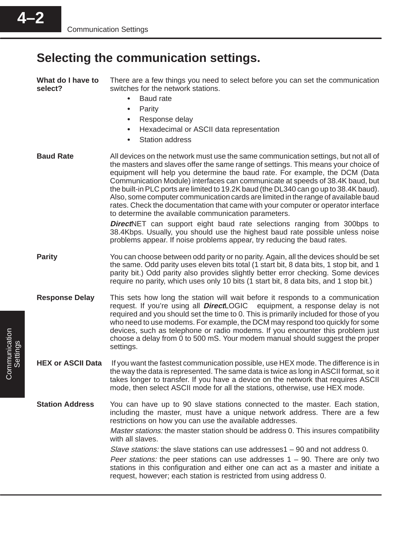# **Selecting the communication settings.**

| What do I have to<br>select? | There are a few things you need to select before you can set the communication<br>switches for the network stations.<br><b>Baud</b> rate<br>$\bullet$<br>Parity<br>$\bullet$<br>Response delay<br>$\bullet$<br>Hexadecimal or ASCII data representation<br><b>Station address</b><br>$\bullet$                                                                                                                                                                                                                                                                                                                                                                                                                                                                                                                                                                                                                      |  |  |
|------------------------------|---------------------------------------------------------------------------------------------------------------------------------------------------------------------------------------------------------------------------------------------------------------------------------------------------------------------------------------------------------------------------------------------------------------------------------------------------------------------------------------------------------------------------------------------------------------------------------------------------------------------------------------------------------------------------------------------------------------------------------------------------------------------------------------------------------------------------------------------------------------------------------------------------------------------|--|--|
| <b>Baud Rate</b>             | All devices on the network must use the same communication settings, but not all of<br>the masters and slaves offer the same range of settings. This means your choice of<br>equipment will help you determine the baud rate. For example, the DCM (Data<br>Communication Module) interfaces can communicate at speeds of 38.4K baud, but<br>the built-in PLC ports are limited to 19.2K baud (the DL340 can go up to 38.4K baud).<br>Also, some computer communication cards are limited in the range of available baud<br>rates. Check the documentation that came with your computer or operator interface<br>to determine the available communication parameters.<br><b>DirectNET</b> can support eight baud rate selections ranging from 300bps to<br>38.4Kbps. Usually, you should use the highest baud rate possible unless noise<br>problems appear. If noise problems appear, try reducing the baud rates. |  |  |
| <b>Parity</b>                | You can choose between odd parity or no parity. Again, all the devices should be set<br>the same. Odd parity uses eleven bits total (1 start bit, 8 data bits, 1 stop bit, and 1<br>parity bit.) Odd parity also provides slightly better error checking. Some devices<br>require no parity, which uses only 10 bits (1 start bit, 8 data bits, and 1 stop bit.)                                                                                                                                                                                                                                                                                                                                                                                                                                                                                                                                                    |  |  |
| <b>Response Delay</b>        | This sets how long the station will wait before it responds to a communication<br>request. If you're using all <b>Direct</b> LOGIC <sup>™</sup> equipment, a response delay is not<br>required and you should set the time to 0. This is primarily included for those of you<br>who need to use modems. For example, the DCM may respond too quickly for some<br>devices, such as telephone or radio modems. If you encounter this problem just<br>choose a delay from 0 to 500 mS. Your modem manual should suggest the proper<br>settings.                                                                                                                                                                                                                                                                                                                                                                        |  |  |
| <b>HEX or ASCII Data</b>     | If you want the fastest communication possible, use HEX mode. The difference is in<br>the way the data is represented. The same data is twice as long in ASCII format, so it<br>takes longer to transfer. If you have a device on the network that requires ASCII<br>mode, then select ASCII mode for all the stations, otherwise, use HEX mode.                                                                                                                                                                                                                                                                                                                                                                                                                                                                                                                                                                    |  |  |
| <b>Station Address</b>       | You can have up to 90 slave stations connected to the master. Each station,<br>including the master, must have a unique network address. There are a few<br>restrictions on how you can use the available addresses.<br>Master stations: the master station should be address 0. This insures compatibility<br>with all slaves.<br>Slave stations: the slave stations can use addresses $1 - 90$ and not address 0.<br><i>Peer stations:</i> the peer stations can use addresses $1 - 90$ . There are only two<br>stations in this configuration and either one can act as a master and initiate a<br>request, however; each station is restricted from using address 0.                                                                                                                                                                                                                                            |  |  |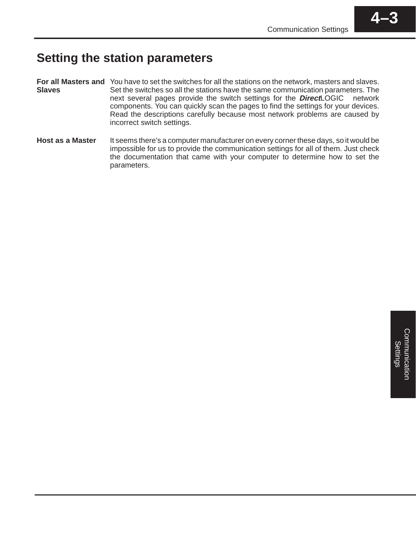# **Setting the station parameters**

- For all Masters and You have to set the switches for all the stations on the network, masters and slaves. Set the switches so all the stations have the same communication parameters. The next several pages provide the switch settings for the **Direct**LOGIC<sup>™</sup> network components. You can quickly scan the pages to find the settings for your devices. Read the descriptions carefully because most network problems are caused by incorrect switch settings. **Slaves**
- It seems there's a computer manufacturer on every corner these days, so it would be impossible for us to provide the communication settings for all of them. Just check the documentation that came with your computer to determine how to set the parameters. **Host as a Master**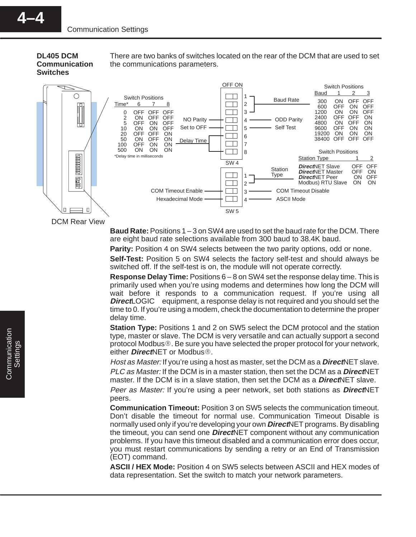**DL405 DCM Communication Switches**

There are two banks of switches located on the rear of the DCM that are used to set the communications parameters.



DCM Rear View

**Baud Rate:** Positions 1 – 3 on SW4 are used to set the baud rate for the DCM. There are eight baud rate selections available from 300 baud to 38.4K baud.

**Parity:** Position 4 on SW4 selects between the two parity options, odd or none.

**Self-Test:** Position 5 on SW4 selects the factory self-test and should always be switched off. If the self-test is on, the module will not operate correctly.

**Response Delay Time:** Positions 6 – 8 on SW4 set the response delay time. This is primarily used when you're using modems and determines how long the DCM will wait before it responds to a communication request. If you're using all **Direct**LOGIC<sup>™</sup> equipment, a response delay is not required and you should set the time to 0. If you're using a modem, check the documentation to determine the proper delay time.

**Station Type:** Positions 1 and 2 on SW5 select the DCM protocol and the station type, master or slave. The DCM is very versatile and can actually support a second protocol Modbus. Be sure you have selected the proper protocol for your network, either **Direct**NET or Modbus<sup>®</sup>.

Host as Master: If you're using a host as master, set the DCM as a **Direct**NET slave. PLC as Master: If the DCM is in a master station, then set the DCM as a **Direct**NET master. If the DCM is in a slave station, then set the DCM as a **Direct**NET slave.

Peer as Master: If you're using a peer network, set both stations as **Direct**NET peers.

**Communication Timeout:** Position 3 on SW5 selects the communication timeout. Don't disable the timeout for normal use. Communication Timeout Disable is normally used only if you're developing your own **Direct**NET programs. By disabling the timeout, you can send one **Direct**NET component without any communication problems. If you have this timeout disabled and a communication error does occur, you must restart communications by sending a retry or an End of Transmission (EOT) command.

**ASCII / HEX Mode:** Position 4 on SW5 selects between ASCII and HEX modes of data representation. Set the switch to match your network parameters.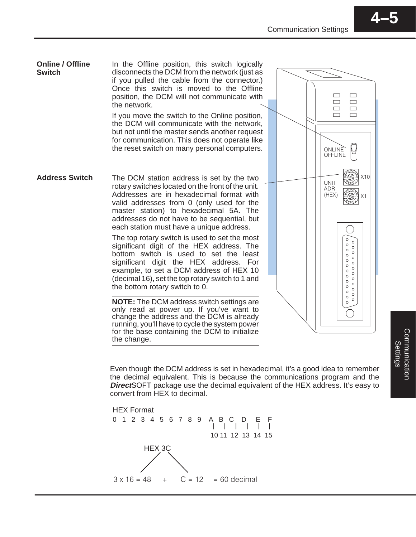In the Offline position, this switch logically disconnects the DCM from the network (just as if you pulled the cable from the connector.) Once this switch is moved to the Offline position, the DCM will not communicate with the network. **Online / Offline Switch**

If you move the switch to the Online position, the DCM will communicate with the network, but not until the master sends another request for communication. This does not operate like the reset switch on many personal computers.

The DCM station address is set by the two rotary switches located on the front of the unit. Addresses are in hexadecimal format with valid addresses from 0 (only used for the master station) to hexadecimal 5A. The addresses do not have to be sequential, but each station must have a unique address. **Address Switch**

> The top rotary switch is used to set the most significant digit of the HEX address. The bottom switch is used to set the least significant digit the HEX address. For example, to set a DCM address of HEX 10 (decimal 16), set the top rotary switch to 1 and the bottom rotary switch to 0.

> **NOTE:** The DCM address switch settings are only read at power up. If you've want to change the address and the DCM is already running, you'll have to cycle the system power for the base containing the DCM to initialize the change.

Even though the DCM address is set in hexadecimal, it's a good idea to remember the decimal equivalent. This is because the communications program and the **Direct**SOFT package use the decimal equivalent of the HEX address. It's easy to convert from HEX to decimal.

HEX 3C  $3 \times 16 = 48$ 0 1 2 3 4 5 6 7 8 9 A B C D E F 10 11 12 13 14 15  $+$  C = 12 = 60 decimal HEX Format

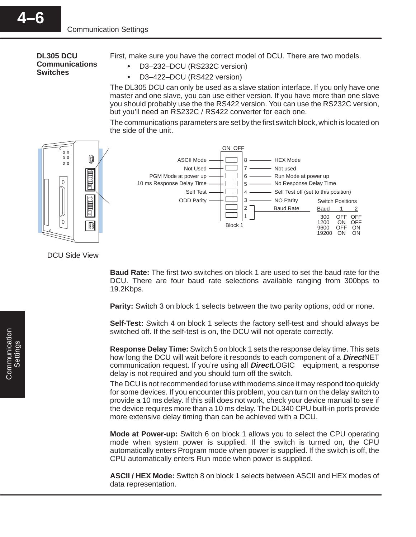### **DL305 DCU Communications Switches**

**4–6**

First, make sure you have the correct model of DCU. There are two models.

- D3–232–DCU (RS232C version)
- $\bullet$ D3–422–DCU (RS422 version)

The DL305 DCU can only be used as a slave station interface. If you only have one master and one slave, you can use either version. If you have more than one slave you should probably use the the RS422 version. You can use the RS232C version, but you'll need an RS232C / RS422 converter for each one.

The communications parameters are set by the first switch block, which is located on the side of the unit.



### DCU Side View

**Baud Rate:** The first two switches on block 1 are used to set the baud rate for the DCU. There are four baud rate selections available ranging from 300bps to 19.2Kbps.

**Parity:** Switch 3 on block 1 selects between the two parity options, odd or none.

**Self-Test:** Switch 4 on block 1 selects the factory self-test and should always be switched off. If the self-test is on, the DCU will not operate correctly.

**Response Delay Time:** Switch 5 on block 1 sets the response delay time. This sets how long the DCU will wait before it responds to each component of a **Direct**NET communication request. If you're using all **Direct**LOGIC<sup>™</sup> equipment, a response delay is not required and you should turn off the switch.

The DCU is not recommended for use with modems since it may respond too quickly for some devices. If you encounter this problem, you can turn on the delay switch to provide a 10 ms delay. If this still does not work, check your device manual to see if the device requires more than a 10 ms delay. The DL340 CPU built-in ports provide more extensive delay timing than can be achieved with a DCU.

**Mode at Power-up:** Switch 6 on block 1 allows you to select the CPU operating mode when system power is supplied. If the switch is turned on, the CPU automatically enters Program mode when power is supplied. If the switch is off, the CPU automatically enters Run mode when power is supplied.

**ASCII / HEX Mode:** Switch 8 on block 1 selects between ASCII and HEX modes of data representation.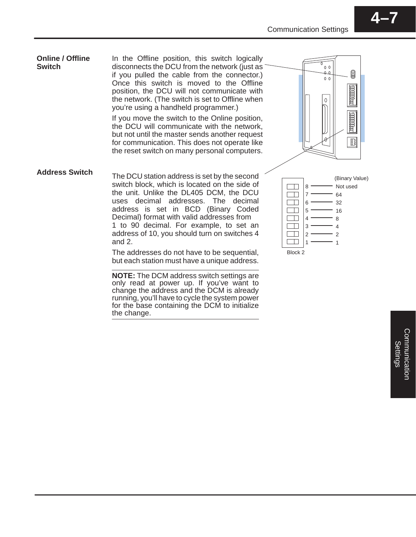#### **Online / Offline** In the Offline position, this switch logically  $\overline{\sigma}$ **Switch** disconnects the DCU from the network (just as  $0<sup>0</sup>$ 0 if you pulled the cable from the connector.)  $\Omega$  $0<sub>0</sub>$ Once this switch is moved to the Offline 画面画 position, the DCU will not communicate with the network. (The switch is set to Offline when  $\mathbf{0}$ you're using a handheld programmer.) 电话时 If you move the switch to the Online position, the DCU will communicate with the network, but not until the master sends another request 鹛 for communication. This does not operate like the reset switch on many personal computers. **Address Switch**The DCU station address is set by the second (Binary Value) switch block, which is located on the side of  $\Box$ Not used 8 the unit. Unlike the DL405 DCM, the DCU 7  $\Box$ 64 uses decimal addresses. The decimal  $\Box$ 6 32 address is set in BCD (Binary Coded **Common** 16 5 Decimal) format with valid addresses from  $\Box$ 4 8 1 to 90 decimal. For example, to set an  $\Box$ 3 4 address of 10, you should turn on switches 4  $\Box$ 2 2 and 2.  $\Box$ 1 1 The addresses do not have to be sequential, Block 2 but each station must have a unique address. **NOTE:** The DCM address switch settings are

only read at power up. If you've want to change the address and the DCM is already running, you'll have to cycle the system power for the base containing the DCM to initialize the change.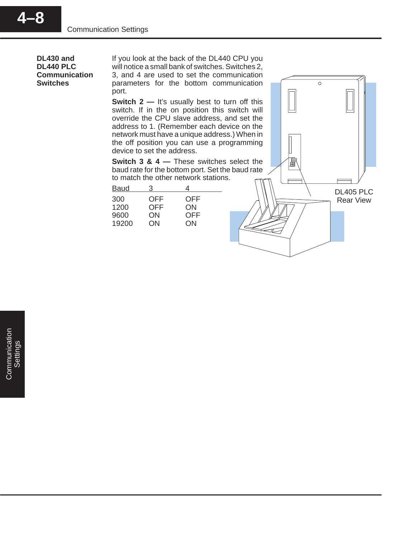**DL430 and DL440 PLC Communication Switches**

**4–8**

If you look at the back of the DL440 CPU you will notice a small bank of switches. Switches 2, 3, and 4 are used to set the communication parameters for the bottom communication port.

**Switch 2 —** It's usually best to turn off this switch. If in the on position this switch will override the CPU slave address, and set the address to 1. (Remember each device on the network must have a unique address.) When in the off position you can use a programming device to set the address.

**Switch 3 & 4 — These switches select the** baud rate for the bottom port. Set the baud rate to match the other network stations.

| <b>Baud</b> |                   |            |
|-------------|-------------------|------------|
| 300<br>1200 | OFF<br><b>OFF</b> | OFF<br>ON  |
| 9600        | ON                | <b>OFF</b> |
| 19200       | ON                | ON         |

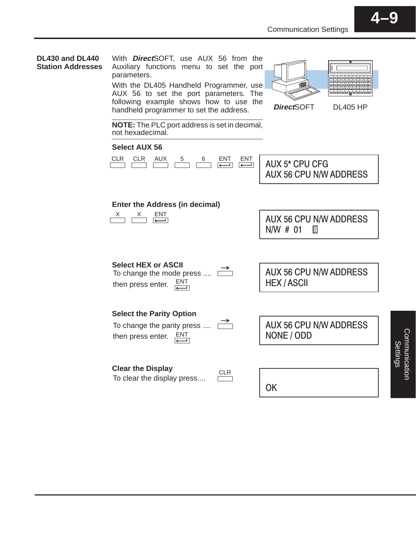

### **DL430 and DL440 Station Addresses**

With **Direct**SOFT, use AUX 56 from the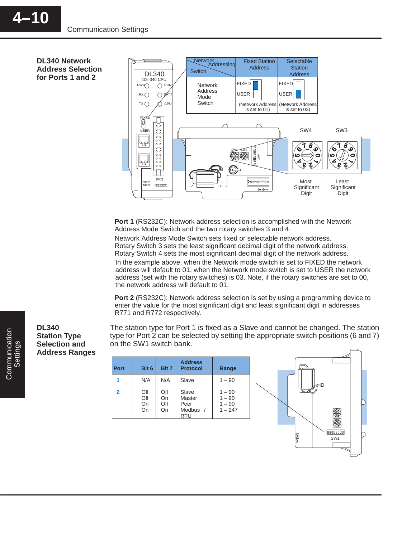**DL340 Network Address Selection for Ports 1 and 2**



**Port 1** (RS232C): Network address selection is accomplished with the Network Address Mode Switch and the two rotary switches 3 and 4.

Network Address Mode Switch sets fixed or selectable network address. Rotary Switch 3 sets the least significant decimal digit of the network address. Rotary Switch 4 sets the most significant decimal digit of the network address.

In the example above, when the Network mode switch is set to FIXED the network address will default to 01, when the Network mode switch is set to USER the network address (set with the rotary switches) is 03. Note, if the rotary switches are set to 00, the network address will default to 01.

**Port 2** (RS232C): Network address selection is set by using a programming device to enter the value for the most significant digit and least significant digit in addresses R771 and R772 respectively.

The station type for Port 1 is fixed as a Slave and cannot be changed. The station type for Port 2 can be selected by setting the appropriate switch positions (6 and 7) on the SW1 switch bank.

| <b>Port</b>    | Bit 6                  | Bit 7                  | <b>Address</b><br><b>Protocol</b>                              | Range                                         |
|----------------|------------------------|------------------------|----------------------------------------------------------------|-----------------------------------------------|
|                | N/A                    | N/A                    | Slave                                                          | $1 - 90$                                      |
| $\overline{2}$ | Off<br>Off<br>On<br>On | Off<br>On<br>Off<br>On | Slave<br>Master<br>Peer<br>Modbus <sup>®</sup> /<br><b>RTU</b> | $1 - 90$<br>$1 - 90$<br>$1 - 90$<br>$1 - 247$ |



**DL340 Station Type Selection and Address Ranges**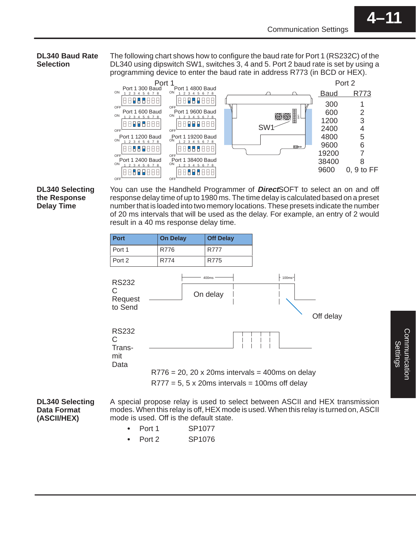### **DL340 Baud Rate Selection**

The following chart shows how to configure the baud rate for Port 1 (RS232C) of the DL340 using dipswitch SW1, switches 3, 4 and 5. Port 2 baud rate is set by using a programming device to enter the baud rate in address R773 (in BCD or HEX).



**DL340 Selecting the Response Delay Time**

You can use the Handheld Programmer of **Direct**SOFT to select an on and off response delay time of up to 1980 ms. The time delay is calculated based on a preset number that is loaded into two memory locations. These presets indicate the number of 20 ms intervals that will be used as the delay. For example, an entry of 2 would result in a 40 ms response delay time.



**DL340 Selecting Data Format (ASCII/HEX)**

A special propose relay is used to select between ASCII and HEX transmission modes. When this relay is off, HEX mode is used. When this relay is turned on, ASCII mode is used. Off is the default state.

- Port 1 SP1077 Ĩ
- Port 2 SP1076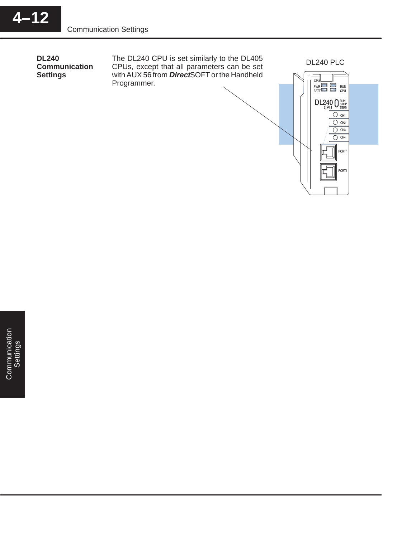**DL240 Communication Settings**

The DL240 CPU is set similarly to the DL405 CPUs, except that all parameters can be set with AUX 56 from **Direct**SOFT or the Handheld Programmer.

DL240 PLC

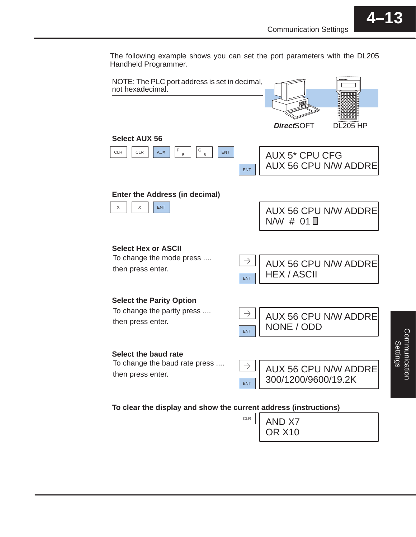The following example shows you can set the port parameters with the DL205 Handheld Programmer.